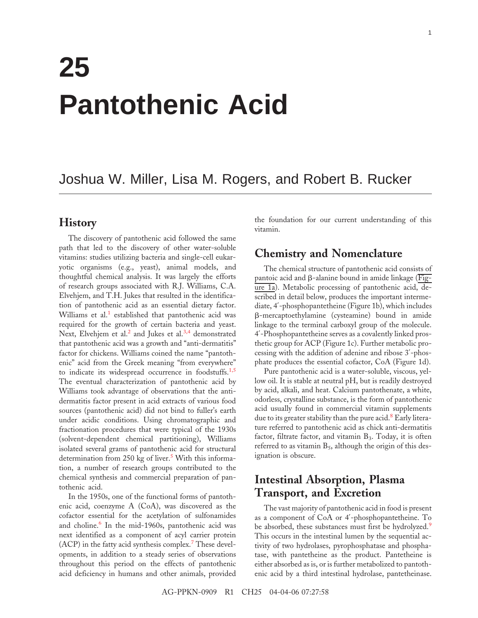# **25 Pantothenic Acid**

# Joshua W. Miller, Lisa M. Rogers, and Robert B. Rucker

## **History**

The discovery of pantothenic acid followed the same path that led to the discovery of other water-soluble vitamins: studies utilizing bacteria and single-cell eukaryotic organisms (e.g., yeast), animal models, and thoughtful chemical analysis. It was largely the efforts of research groups associated with R.J. Williams, C.A. Elvehjem, and T.H. Jukes that resulted in the identification of pantothenic acid as an essential dietary factor. Williams et a[l.](#page-9-0)<sup>1</sup> established that pantothenic acid was required for the growth of certain bacteria and yeast. Next, Elvehjem et a[l.](#page-9-0)<sup>2</sup> and Jukes et al.<sup>[3,4](#page-9-0)</sup> demonstrated that pantothenic acid was a growth and "anti-dermatitis" factor for chickens. Williams coined the name "pantothenic" acid from the Greek meaning "from everywhere" to indicate its widespread occurrence in foodstuffs.<sup>[1,5](#page-9-0)</sup> The eventual characterization of pantothenic acid by Williams took advantage of observations that the antidermatitis factor present in acid extracts of various food sources (pantothenic acid) did not bind to fuller's earth under acidic conditions. Using chromatographic and fractionation procedures that were typical of the 1930s (solvent-dependent chemical partitioning), Williams isolated several grams of pantothenic acid for structural determination from 2[5](#page-9-0)0 kg of liver.<sup>5</sup> With this information, a number of research groups contributed to the chemical synthesis and commercial preparation of pantothenic acid.

In the 1950s, one of the functional forms of pantothenic acid, coenzyme A (CoA), was discovered as the cofactor essential for the acetylation of sulfonamides and choline.<sup>[6](#page-9-0)</sup> In the mid-1960s, pantothenic acid was next identified as a component of acyl carrier protein (ACP) in the fatty acid synthesis complex.[7](#page-9-0) These developments, in addition to a steady series of observations throughout this period on the effects of pantothenic acid deficiency in humans and other animals, provided

the foundation for our current understanding of this vitamin.

# **Chemistry and Nomenclature**

The chemical structure of pantothenic acid consists of pantoic acid and  $\beta$ -alanine bound in amide linkage ( $\overline{Fig}$ ure 1a). Metabolic processing of pantothenic acid, described in detail below, produces the important intermediate, 4′-phosphopantetheine (Figure 1b), which includes -mercaptoethylamine (cysteamine) bound in amide linkage to the terminal carboxyl group of the molecule. 4′-Phosphopantetheine serves as a covalently linked prosthetic group for ACP (Figure 1c). Further metabolic processing with the addition of adenine and ribose 3′-phosphate produces the essential cofactor, CoA (Figure 1d).

Pure pantothenic acid is a water-soluble, viscous, yellow oil. It is stable at neutral pH, but is readily destroyed by acid, alkali, and heat. Calcium pantothenate, a white, odorless, crystalline substance, is the form of pantothenic acid usually found in commercial vitamin supplements due to its greater stability than the pure aci[d.](#page-9-0)<sup>8</sup> Early literature referred to pantothenic acid as chick anti-dermatitis factor, filtrate factor, and vitamin  $B_3$ . Today, it is often referred to as vitamin  $B_5$ , although the origin of this designation is obscure.

# **Intestinal Absorption, Plasma Transport, and Excretion**

The vast majority of pantothenic acid in food is present as a component of CoA or 4′-phosphopantetheine. To be absorbed, these substances must first be hydrolyzed.<sup>[9](#page-9-0)</sup> This occurs in the intestinal lumen by the sequential activity of two hydrolases, pyrophosphatase and phosphatase, with pantetheine as the product. Pantetheine is either absorbed as is, or is further metabolized to pantothenic acid by a third intestinal hydrolase, pantetheinase.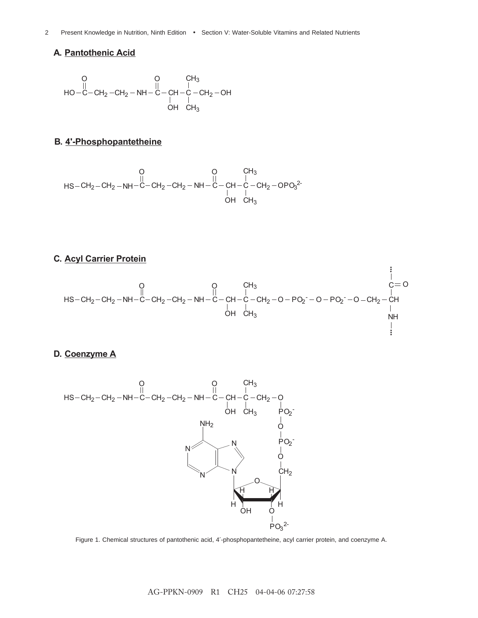#### **A. Pantothenic Acid**

$$
\begin{matrix}O&O&CH_3\\ \parallel\\ HO-C-CH_2-CH_2-NH-C-CH-C-CH_2-OH\\ \parallel\\ OH&CH_3\end{matrix}
$$

## **B. 4'-Phosphopantetheine**

$$
\begin{matrix} & & & & & \\ & & & & & \\ \text{HS--CH}_2-\text{CH}_2-\text{NH--C--CH}_2-\text{CH}_2-\text{NH--C--CH}_2-\text{CH}_2-\text{CH}_2-\text{OPO}_3{}^2\\ & & & & \text{O} & \\ & & & & \text{O} & \\ & & & & \text{O} & \\ \text{OH} & \text{CH}_3 & & \end{matrix}
$$

## **C. Acyl Carrier Protein**



#### **D. Coenzyme A**





AG-PPKN-0909 R1 CH25 04-04-06 07:27:58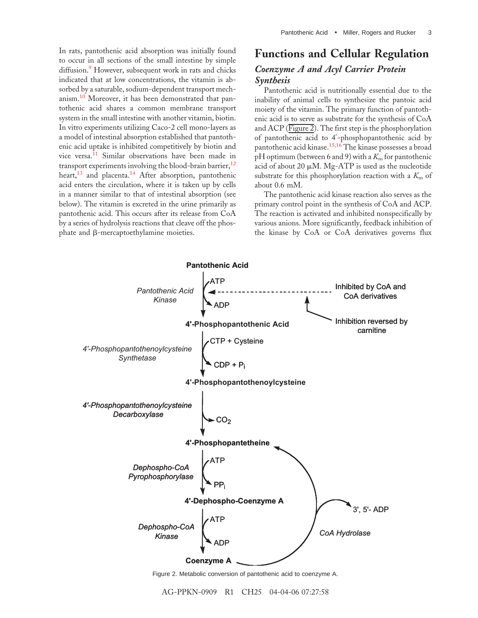In rats, pantothenic acid absorption was initially found to occur in all sections of the small intestine by simple diffusio[n.](#page-9-0)<sup>9</sup> However, subsequent work in rats and chicks indicated that at low concentrations, the vitamin is absorbed by a saturable, sodium-dependent transport mechanism.[10](#page-9-0) Moreover, it has been demonstrated that pantothenic acid shares a common membrane transport system in the small intestine with another vitamin, biotin. In vitro experiments utilizing Caco-2 cell mono-layers as a model of intestinal absorption established that pantothenic acid uptake is inhibited competitively by biotin and vice versa.<sup>[11](#page-9-0)</sup> Similar observations have been made in transport experiments involving the blood-brain barrier,<sup>[12](#page-9-0)</sup> heart,<sup>[13](#page-9-0)</sup> and placenta.<sup>[14](#page-9-0)</sup> After absorption, pantothenic acid enters the circulation, where it is taken up by cells in a manner similar to that of intestinal absorption (see below). The vitamin is excreted in the urine primarily as pantothenic acid. This occurs after its release from CoA by a series of hydrolysis reactions that cleave off the phos $phate$  and  $\beta$ -mercaptoethylamine moieties.

## **Functions and Cellular Regulation**

### *Coenzyme A and Acyl Carrier Protein Synthesis*

Pantothenic acid is nutritionally essential due to the inability of animal cells to synthesize the pantoic acid moiety of the vitamin. The primary function of pantothenic acid is to serve as substrate for the synthesis of CoA and ACP ( $\overline{\text{Figure 2}}$ ). The first step is the phosphorylation of pantothenic acid to 4′-phosphopantothenic acid by pantothenic acid kinase.[15,16](#page-9-0) The kinase possesses a broad pH optimum (between 6 and 9) with a  $K<sub>m</sub>$  for pantothenic acid of about 20  $\mu$ M. Mg-ATP is used as the nucleotide substrate for this phosphorylation reaction with a  $K<sub>m</sub>$  of about 0.6 mM.

The pantothenic acid kinase reaction also serves as the primary control point in the synthesis of CoA and ACP. The reaction is activated and inhibited nonspecifically by various anions. More significantly, feedback inhibition of the kinase by CoA or CoA derivatives governs flux



Figure 2. Metabolic conversion of pantothenic acid to coenzyme A.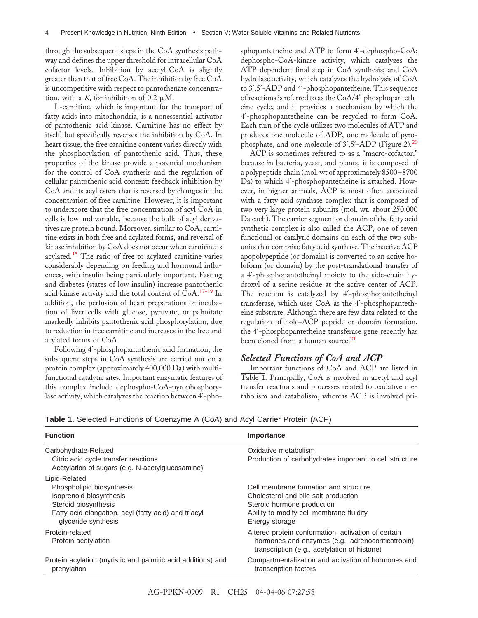through the subsequent steps in the CoA synthesis pathway and defines the upper threshold for intracellular CoA cofactor levels. Inhibition by acetyl-CoA is slightly greater than that of free CoA. The inhibition by free CoA is uncompetitive with respect to pantothenate concentration, with a  $K_i$  for inhibition of 0.2  $\mu$ M.

L-carnitine, which is important for the transport of fatty acids into mitochondria, is a nonessential activator of pantothenic acid kinase. Carnitine has no effect by itself, but specifically reverses the inhibition by CoA. In heart tissue, the free carnitine content varies directly with the phosphorylation of pantothenic acid. Thus, these properties of the kinase provide a potential mechanism for the control of CoA synthesis and the regulation of cellular pantothenic acid content: feedback inhibition by CoA and its acyl esters that is reversed by changes in the concentration of free carnitine. However, it is important to underscore that the free concentration of acyl CoA in cells is low and variable, because the bulk of acyl derivatives are protein bound. Moreover, similar to CoA, carnitine exists in both free and acylated forms, and reversal of kinase inhibition by CoA does not occur when carnitine is acylated.[15](#page-9-0) The ratio of free to acylated carnitine varies considerably depending on feeding and hormonal influences, with insulin being particularly important. Fasting and diabetes (states of low insulin) increase pantothenic acid kinase activity and the total content of CoA.[17-19](#page-9-0) In addition, the perfusion of heart preparations or incubation of liver cells with glucose, pyruvate, or palmitate markedly inhibits pantothenic acid phosphorylation, due to reduction in free carnitine and increases in the free and acylated forms of CoA.

Following 4′-phosphopantothenic acid formation, the subsequent steps in CoA synthesis are carried out on a protein complex (approximately 400,000 Da) with multifunctional catalytic sites. Important enzymatic features of this complex include dephospho-CoA-pyrophosphorylase activity, which catalyzes the reaction between 4′-phosphopantetheine and ATP to form 4′-dephospho-CoA; dephospho-CoA-kinase activity, which catalyzes the ATP-dependent final step in CoA synthesis; and CoA hydrolase activity, which catalyzes the hydrolysis of CoA to 3′,5′-ADP and 4′-phosphopantetheine. This sequence of reactions is referred to as the CoA/4′-phosphopantetheine cycle, and it provides a mechanism by which the 4′-phosphopantetheine can be recycled to form CoA. Each turn of the cycle utilizes two molecules of ATP and produces one molecule of ADP, one molecule of pyrophosphate, and one molecule of  $3'$ ,  $5'$ -ADP (Figure 2).<sup>20</sup>

ACP is sometimes referred to as a "macro-cofactor," because in bacteria, yeast, and plants, it is composed of a polypeptide chain (mol. wt of approximately 8500–8700 Da) to which 4′-phosphopantetheine is attached. However, in higher animals, ACP is most often associated with a fatty acid synthase complex that is composed of two very large protein subunits (mol. wt. about 250,000 Da each). The carrier segment or domain of the fatty acid synthetic complex is also called the ACP, one of seven functional or catalytic domains on each of the two subunits that comprise fatty acid synthase. The inactive ACP apopolypeptide (or domain) is converted to an active holoform (or domain) by the post-translational transfer of a 4′-phosphopantetheinyl moiety to the side-chain hydroxyl of a serine residue at the active center of ACP. The reaction is catalyzed by 4'-phosphopantetheinyl transferase, which uses CoA as the 4′-phosphopantetheine substrate. Although there are few data related to the regulation of holo-ACP peptide or domain formation, the 4′-phosphopantetheine transferase gene recently has been cloned from a human source.<sup>[21](#page-9-0)</sup>

#### *Selected Functions of CoA and ACP*

Important functions of CoA and ACP are listed in Table 1. Principally, CoA is involved in acetyl and acyl transfer reactions and processes related to oxidative metabolism and catabolism, whereas ACP is involved pri-

| <b>Function</b>                                                                                                                                                              | Importance                                                                                                                                                                |  |  |  |  |
|------------------------------------------------------------------------------------------------------------------------------------------------------------------------------|---------------------------------------------------------------------------------------------------------------------------------------------------------------------------|--|--|--|--|
| Carbohydrate-Related<br>Citric acid cycle transfer reactions<br>Acetylation of sugars (e.g. N-acetylglucosamine)                                                             | Oxidative metabolism<br>Production of carbohydrates important to cell structure                                                                                           |  |  |  |  |
| Lipid-Related<br>Phospholipid biosynthesis<br>Isoprenoid biosynthesis<br>Steroid biosynthesis<br>Fatty acid elongation, acyl (fatty acid) and triacyl<br>glyceride synthesis | Cell membrane formation and structure<br>Cholesterol and bile salt production<br>Steroid hormone production<br>Ability to modify cell membrane fluidity<br>Energy storage |  |  |  |  |
| Protein-related<br>Protein acetylation                                                                                                                                       | Altered protein conformation; activation of certain<br>hormones and enzymes (e.g., adrenocoriticotropin);<br>transcription (e.g., acetylation of histone)                 |  |  |  |  |
| Protein acylation (myristic and palmitic acid additions) and<br>prenylation                                                                                                  | Compartmentalization and activation of hormones and<br>transcription factors                                                                                              |  |  |  |  |

| Table 1. Selected Functions of Coenzyme A (CoA) and Acyl Carrier Protein (ACP) |  |  |
|--------------------------------------------------------------------------------|--|--|
|--------------------------------------------------------------------------------|--|--|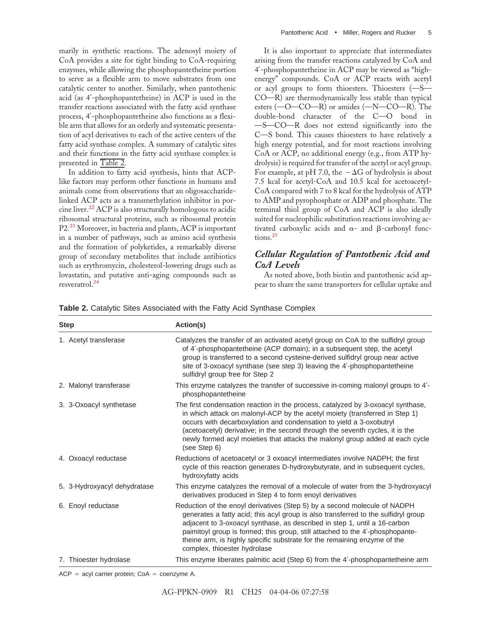marily in synthetic reactions. The adenosyl moiety of CoA provides a site for tight binding to CoA-requiring enzymes, while allowing the phosphopantetheine portion to serve as a flexible arm to move substrates from one catalytic center to another. Similarly, when pantothenic acid (as 4′-phosphopantetheine) in ACP is used in the transfer reactions associated with the fatty acid synthase process, 4′-phosphopantetheine also functions as a flexible arm that allows for an orderly and systematic presentation of acyl derivatives to each of the active centers of the fatty acid synthase complex. A summary of catalytic sites and their functions in the fatty acid synthase complex is presented in Table 2.

In addition to fatty acid synthesis, hints that ACPlike factors may perform other functions in humans and animals come from observations that an oligosaccharidelinked ACP acts as a transmethylation inhibitor in porcine liver.[22](#page-9-0) ACP is also structurally homologous to acidic ribosomal structural proteins, such as ribosomal protein P2[.23](#page-9-0) Moreover, in bacteria and plants, ACP is important in a number of pathways, such as amino acid synthesis and the formation of polyketides, a remarkably diverse group of secondary metabolites that include antibiotics such as erythromycin, cholesterol-lowering drugs such as lovastatin, and putative anti-aging compounds such as resveratrol.[24](#page-9-0)

It is also important to appreciate that intermediates arising from the transfer reactions catalyzed by CoA and 4′-phosphopantetheine in ACP may be viewed as "highenergy" compounds. CoA or ACP reacts with acetyl or acyl groups to form thioesters. Thioesters  $(-S<sub>+</sub>)$  $CO-R$ ) are thermodynamically less stable than typical esters  $(-O - CO - R)$  or amides  $(-N - CO - R)$ . The double-bond character of the C-O bond in  $-S$ —CO—R does not extend significantly into the C-S bond. This causes thioesters to have relatively a high energy potential, and for most reactions involving CoA or ACP, no additional energy (e.g., from ATP hydrolysis) is required for transfer of the acetyl or acyl group. For example, at pH 7.0, the  $-\Delta G$  of hydrolysis is about 7.5 kcal for acetyl-CoA and 10.5 kcal for acetoacetyl-CoA compared with 7 to 8 kcal for the hydrolysis of ATP to AMP and pyrophosphate or ADP and phosphate. The terminal thiol group of CoA and ACP is also ideally suited for nucleophilic substitution reactions involving activated carboxylic acids and  $\alpha$ - and  $\beta$ -carbonyl func-tions.<sup>[25](#page-9-0)</sup>

## *Cellular Regulation of Pantothenic Acid and CoA Levels*

As noted above, both biotin and pantothenic acid appear to share the same transporters for cellular uptake and

| <b>Step</b>                  | Action(s)                                                                                                                                                                                                                                                                                                                                                                                                                                 |  |  |  |
|------------------------------|-------------------------------------------------------------------------------------------------------------------------------------------------------------------------------------------------------------------------------------------------------------------------------------------------------------------------------------------------------------------------------------------------------------------------------------------|--|--|--|
| 1. Acetyl transferase        | Catalyzes the transfer of an activated acetyl group on CoA to the sulfidryl group<br>of 4'-phosphopantetheine (ACP domain); in a subsequent step, the acetyl<br>group is transferred to a second cysteine-derived sulfidryl group near active<br>site of 3-oxoacyl synthase (see step 3) leaving the 4'-phosphopantetheine<br>sulfidryl group free for Step 2                                                                             |  |  |  |
| 2. Malonyl transferase       | This enzyme catalyzes the transfer of successive in-coming malonyl groups to 4'-<br>phosphopantetheine                                                                                                                                                                                                                                                                                                                                    |  |  |  |
| 3. 3-Oxoacyl synthetase      | The first condensation reaction in the process, catalyzed by 3-oxoacyl synthase,<br>in which attack on malonyl-ACP by the acetyl moiety (transferred in Step 1)<br>occurs with decarboxylation and condensation to yield a 3-oxobutryl<br>(acetoacetyl) derivative; in the second through the seventh cycles, it is the<br>newly formed acyl moieties that attacks the malonyl group added at each cycle<br>(see Step 6)                  |  |  |  |
| 4. Oxoacyl reductase         | Reductions of acetoacetyl or 3 oxoacyl intermediates involve NADPH; the first<br>cycle of this reaction generates D-hydroxybutyrate, and in subsequent cycles,<br>hydroxyfatty acids                                                                                                                                                                                                                                                      |  |  |  |
| 5. 3-Hydroxyacyl dehydratase | This enzyme catalyzes the removal of a molecule of water from the 3-hydroxyacyl<br>derivatives produced in Step 4 to form enoyl derivatives                                                                                                                                                                                                                                                                                               |  |  |  |
| 6. Enoyl reductase           | Reduction of the enoyl derivatives (Step 5) by a second molecule of NADPH<br>generates a fatty acid; this acyl group is also transferred to the sulfidryl group<br>adjacent to 3-oxoacyl synthase, as described in step 1, until a 16-carbon<br>paimitoyl group is formed; this group, still attached to the 4'-phosphopante-<br>theine arm, is highly specific substrate for the remaining enzyme of the<br>complex, thioester hydrolase |  |  |  |
| 7. Thioester hydrolase       | This enzyme liberates palmitic acid (Step 6) from the 4'-phosphopantetheine arm                                                                                                                                                                                                                                                                                                                                                           |  |  |  |

**Table 2.** Catalytic Sites Associated with the Fatty Acid Synthase Complex

 $ACP = acyl$  carrier protein;  $CoA = co$ enzyme A.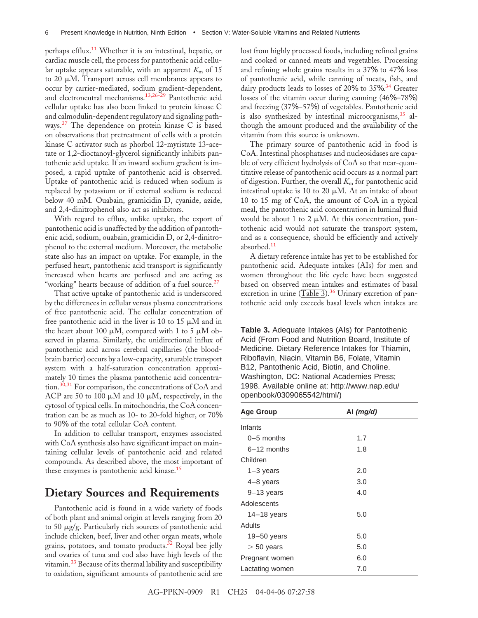perhaps efflux.[11](#page-9-0) Whether it is an intestinal, hepatic, or cardiac muscle cell, the process for pantothenic acid cellular uptake appears saturable, with an apparent  $K<sub>m</sub>$  of 15 to 20  $\mu$ M. Transport across cell membranes appears to occur by carrier-mediated, sodium gradient-dependent, and electroneutral mechanisms.[13,26-29](#page-9-0) Pantothenic acid cellular uptake has also been linked to protein kinase C and calmodulin-dependent regulatory and signaling pathways.[27](#page-10-0) The dependence on protein kinase C is based on observations that pretreatment of cells with a protein kinase C activator such as phorbol 12-myristate 13-acetate or 1,2-dioctanoyl-glycerol significantly inhibits pantothenic acid uptake. If an inward sodium gradient is imposed, a rapid uptake of pantothenic acid is observed. Uptake of pantothenic acid is reduced when sodium is replaced by potassium or if external sodium is reduced below 40 mM. Ouabain, gramicidin D, cyanide, azide, and 2,4-dinitrophenol also act as inhibitors.

With regard to efflux, unlike uptake, the export of pantothenic acid is unaffected by the addition of pantothenic acid, sodium, ouabain, gramicidin D, or 2,4-dinitrophenol to the external medium. Moreover, the metabolic state also has an impact on uptake. For example, in the perfused heart, pantothenic acid transport is significantly increased when hearts are perfused and are acting as "working" hearts because of addition of a fuel source.<sup>[27](#page-10-0)</sup>

That active uptake of pantothenic acid is underscored by the differences in cellular versus plasma concentrations of free pantothenic acid. The cellular concentration of free pantothenic acid in the liver is 10 to 15  $\mu$ M and in the heart about 100  $\mu$ M, compared with 1 to 5  $\mu$ M observed in plasma. Similarly, the unidirectional influx of pantothenic acid across cerebral capillaries (the bloodbrain barrier) occurs by a low-capacity, saturable transport system with a half-saturation concentration approximately 10 times the plasma pantothenic acid concentra-tion.<sup>[30,31](#page-10-0)</sup> For comparison, the concentrations of CoA and ACP are 50 to 100  $\mu$ M and 10  $\mu$ M, respectively, in the cytosol of typical cells. In mitochondria, the CoA concentration can be as much as 10- to 20-fold higher, or 70% to 90% of the total cellular CoA content.

In addition to cellular transport, enzymes associated with CoA synthesis also have significant impact on maintaining cellular levels of pantothenic acid and related compounds. As described above, the most important of these enzymes is pantothenic acid kinase.<sup>[15](#page-9-0)</sup>

## **Dietary Sources and Requirements**

Pantothenic acid is found in a wide variety of foods of both plant and animal origin at levels ranging from 20 to 50 µg/g. Particularly rich sources of pantothenic acid include chicken, beef, liver and other organ meats, whole grains, potatoes, and tomato products.<sup>[32](#page-10-0)</sup> Royal bee jelly and ovaries of tuna and cod also have high levels of the vitamin.<sup>[33](#page-10-0)</sup> Because of its thermal lability and susceptibility to oxidation, significant amounts of pantothenic acid are lost from highly processed foods, including refined grains and cooked or canned meats and vegetables. Processing and refining whole grains results in a 37% to 47% loss of pantothenic acid, while canning of meats, fish, and dairy products leads to losses of 20% to 35%. [34](#page-10-0) Greater losses of the vitamin occur during canning (46%–78%) and freezing (37%–57%) of vegetables. Pantothenic acid is also synthesized by intestinal microorganisms,  $35$  although the amount produced and the availability of the vitamin from this source is unknown.

The primary source of pantothenic acid in food is CoA. Intestinal phosphatases and nucleosidases are capable of very efficient hydrolysis of CoA so that near-quantitative release of pantothenic acid occurs as a normal part of digestion. Further, the overall *K*<sup>m</sup> for pantothenic acid intestinal uptake is 10 to 20  $\mu$ M. At an intake of about 10 to 15 mg of CoA, the amount of CoA in a typical meal, the pantothenic acid concentration in luminal fluid would be about 1 to 2  $\mu$ M. At this concentration, pantothenic acid would not saturate the transport system, and as a consequence, should be efficiently and actively absorbed. $^{11}$  $^{11}$  $^{11}$ 

A dietary reference intake has yet to be established for pantothenic acid. Adequate intakes (AIs) for men and women throughout the life cycle have been suggested based on observed mean intakes and estimates of basal excretion in urine  $(Table 3)$ .<sup>[36](#page-10-0)</sup> Urinary excretion of pantothenic acid only exceeds basal levels when intakes are

**Table 3.** Adequate Intakes (AIs) for Pantothenic Acid (From Food and Nutrition Board, Institute of Medicine. Dietary Reference Intakes for Thiamin, Riboflavin, Niacin, Vitamin B6, Folate, Vitamin B12, Pantothenic Acid, Biotin, and Choline. Washington, DC: National Academies Press; 1998. Available online at: http://www.nap.edu/ openbook/0309065542/html/)

| <b>Age Group</b> | Al $(mq/d)$ |  |  |  |
|------------------|-------------|--|--|--|
| Infants          |             |  |  |  |
| $0-5$ months     | 1.7         |  |  |  |
| $6-12$ months    | 1.8         |  |  |  |
| Children         |             |  |  |  |
| $1-3$ years      | 2.0         |  |  |  |
| $4-8$ years      | 3.0         |  |  |  |
| $9-13$ years     | 4.0         |  |  |  |
| Adolescents      |             |  |  |  |
| $14-18$ years    | 5.0         |  |  |  |
| Adults           |             |  |  |  |
| $19 - 50$ years  | 5.0         |  |  |  |
| $> 50$ years     | 5.0         |  |  |  |
| Pregnant women   | 6.0         |  |  |  |
| Lactating women  | 7.0         |  |  |  |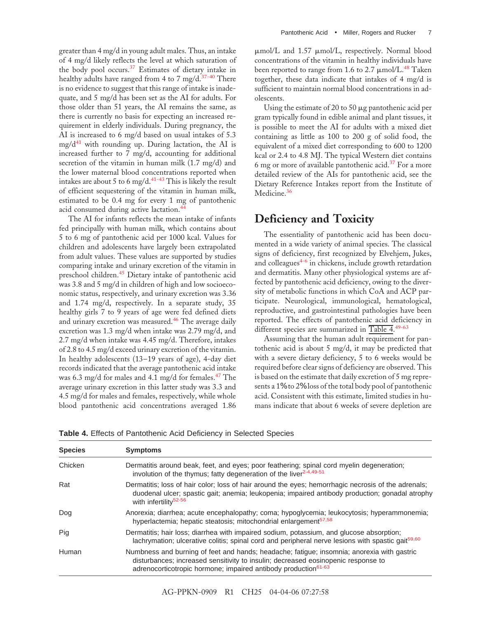greater than 4 mg/d in young adult males. Thus, an intake of 4 mg/d likely reflects the level at which saturation of the body pool occurs.<sup>[37](#page-10-0)</sup> Estimates of dietary intake in healthy adults have ranged from 4 to 7 mg/d. $37-40$  There is no evidence to suggest that this range of intake is inadequate, and 5 mg/d has been set as the AI for adults. For those older than 51 years, the AI remains the same, as there is currently no basis for expecting an increased requirement in elderly individuals. During pregnancy, the AI is increased to 6 mg/d based on usual intakes of 5.3  $mg/d^{41}$  with rounding up. During lactation, the AI is increased further to 7 mg/d, accounting for additional secretion of the vitamin in human milk (1.7 mg/d) and the lower maternal blood concentrations reported when intakes are about 5 to 6 mg/d.<sup>[41-43](#page-10-0)</sup> This is likely the result of efficient sequestering of the vitamin in human milk, estimated to be 0.4 mg for every 1 mg of pantothenic acid consumed during active lactation.[44](#page-10-0)

The AI for infants reflects the mean intake of infants fed principally with human milk, which contains about 5 to6mg of pantothenic acid per 1000 kcal. Values for children and adolescents have largely been extrapolated from adult values. These values are supported by studies comparing intake and urinary excretion of the vitamin in preschool children.[45](#page-10-0) Dietary intake of pantothenic acid was 3.8 and 5 mg/d in children of high and low socioeconomic status, respectively, and urinary excretion was 3.36 and 1.74 mg/d, respectively. In a separate study, 35 healthy girls 7 to 9 years of age were fed defined diets and urinary excretion was measured.<sup>[46](#page-10-0)</sup> The average daily excretion was 1.3 mg/d when intake was 2.79 mg/d, and 2.7 mg/d when intake was 4.45 mg/d. Therefore, intakes of 2.8 to 4.5 mg/d exceed urinary excretion of the vitamin. In healthy adolescents (13–19 years of age), 4-day diet records indicated that the average pantothenic acid intake was 6.3 mg/d for males and 4.1 mg/d for females.<sup>[47](#page-10-0)</sup> The average urinary excretion in this latter study was 3.3 and 4.5 mg/d for males and females, respectively, while whole blood pantothenic acid concentrations averaged 1.86

µmol/L and 1.57 µmol/L, respectively. Normal blood concentrations of the vitamin in healthy individuals have been reported to range from 1.6 to 2.7  $\mu$ mol/L.<sup>48</sup> Taken together, these data indicate that intakes of 4 mg/d is sufficient to maintain normal blood concentrations in adolescents.

Using the estimate of 20 to 50  $\mu$ g pantothenic acid per gram typically found in edible animal and plant tissues, it is possible to meet the AI for adults with a mixed diet containing as little as 100 to 200 g of solid food, the equivalent of a mixed diet corresponding to 600 to 1200 kcal or 2.4 to 4.8 MJ. The typical Western diet contains 6 mg or more of available pantothenic acid.<sup>[37](#page-10-0)</sup> For a more detailed review of the AIs for pantothenic acid, see the Dietary Reference Intakes report from the Institute of Medicine.<sup>[36](#page-10-0)</sup>

# **Deficiency and Toxicity**

The essentiality of pantothenic acid has been documented in a wide variety of animal species. The classical signs of deficiency, first recognized by Elvehjem, Jukes, and colleagues $4-6$  in chickens, include growth retardation and dermatitis. Many other physiological systems are affected by pantothenic acid deficiency, owing to the diversity of metabolic functions in which CoA and ACP participate. Neurological, immunological, hematological, reproductive, and gastrointestinal pathologies have been reported. The effects of pantothenic acid deficiency in different species are summarized in Table  $4.49-63$  $4.49-63$ 

Assuming that the human adult requirement for pantothenic acid is about 5 mg/d, it may be predicted that with a severe dietary deficiency, 5 to 6 weeks would be required before clear signs of deficiency are observed. This is based on the estimate that daily excretion of 5 mg represents a 1% to 2% loss of the total body pool of pantothenic acid. Consistent with this estimate, limited studies in humans indicate that about 6 weeks of severe depletion are

|  |  |  |  | Table 4. Effects of Pantothenic Acid Deficiency in Selected Species |  |  |  |  |
|--|--|--|--|---------------------------------------------------------------------|--|--|--|--|
|--|--|--|--|---------------------------------------------------------------------|--|--|--|--|

| <b>Species</b> | <b>Symptoms</b>                                                                                                                                                                                                                                               |  |  |  |  |  |
|----------------|---------------------------------------------------------------------------------------------------------------------------------------------------------------------------------------------------------------------------------------------------------------|--|--|--|--|--|
| Chicken        | Dermatitis around beak, feet, and eyes; poor feathering; spinal cord myelin degeneration;<br>involution of the thymus; fatty degeneration of the liver <sup>2-4,49-51</sup>                                                                                   |  |  |  |  |  |
| Rat            | Dermatitis; loss of hair color; loss of hair around the eyes; hemorrhagic necrosis of the adrenals;<br>duodenal ulcer; spastic gait; anemia; leukopenia; impaired antibody production; gonadal atrophy<br>with infertility <sup>52-56</sup>                   |  |  |  |  |  |
| Dog            | Anorexia; diarrhea; acute encephalopathy; coma; hypoglycemia; leukocytosis; hyperammonemia;<br>hyperlactemia; hepatic steatosis; mitochondrial enlargement <sup>57,58</sup>                                                                                   |  |  |  |  |  |
| Pig            | Dermatitis; hair loss; diarrhea with impaired sodium, potassium, and glucose absorption;<br>lachrymation; ulcerative colitis; spinal cord and peripheral nerve lesions with spastic gait <sup>59,60</sup>                                                     |  |  |  |  |  |
| Human          | Numbness and burning of feet and hands; headache; fatigue; insomnia; anorexia with gastric<br>disturbances; increased sensitivity to insulin; decreased eosinopenic response to<br>adrenocorticotropic hormone; impaired antibody production <sup>61-63</sup> |  |  |  |  |  |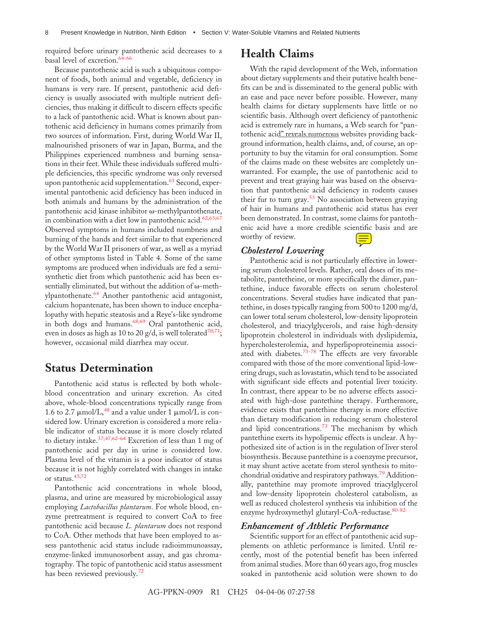required before urinary pantothenic acid decreases to a basal level of excretion.<sup>[64-66](#page-11-0)</sup>

Because pantothenic acid is such a ubiquitous component of foods, both animal and vegetable, deficiency in humans is very rare. If present, pantothenic acid deficiency is usually associated with multiple nutrient deficiencies, thus making it difficult to discern effects specific to a lack of pantothenic acid. What is known about pantothenic acid deficiency in humans comes primarily from two sources of information. First, during World War II, malnourished prisoners of war in Japan, Burma, and the Philippines experienced numbness and burning sensations in their feet. While these individuals suffered multiple deficiencies, this specific syndrome was only reversed upon pantothenic acid supplementation.<sup>[61](#page-11-0)</sup> Second, experimental pantothenic acid deficiency has been induced in both animals and humans by the administration of the pantothenic acid kinase inhibitor  $\omega$ -methylpantothenate, in combination with a diet low in pantothenic acid. $62,63,67$ Observed symptoms in humans included numbness and burning of the hands and feet similar to that experienced by the World War II prisoners of war, as well as a myriad of other symptoms listed in Table 4. Some of the same symptoms are produced when individuals are fed a semisynthetic diet from which pantothenic acid has been essentially eliminated, but without the addition of  $\omega$ -methylpantothenate.[64](#page-11-0) Another pantothenic acid antagonist, calcium hopantenate, has been shown to induce encephalopathy with hepatic steatosis and a Reye's-like syndrome in both dogs and humans.<sup>[68,69](#page-11-0)</sup> Oral pantothenic acid, even in doses as high as 10 to 20 g/d, is well tolerated<sup>70,71</sup>; however, occasional mild diarrhea may occur.

## **Status Determination**

Pantothenic acid status is reflected by both wholeblood concentration and urinary excretion. As cited above, whole-blood concentrations typically range from 1.6 to 2.7  $\mu$ mol/L,<sup>[48](#page-10-0)</sup> and a value under 1  $\mu$ mol/L is considered low. Urinary excretion is considered a more reliable indicator of status because it is more closely related to dietary intake.[37,47,62-64](#page-10-0) Excretion of less than 1 mg of pantothenic acid per day in urine is considered low. Plasma level of the vitamin is a poor indicator of status because it is not highly correlated with changes in intake or status.[43,72](#page-10-0)

Pantothenic acid concentrations in whole blood, plasma, and urine are measured by microbiological assay employing *Lactobacillus plantarum*. For whole blood, enzyme pretreatment is required to convert CoA to free pantothenic acid because *L. plantarum* does not respond to CoA. Other methods that have been employed to assess pantothenic acid status include radioimmunoassay, enzyme-linked immunosorbent assay, and gas chromatography. The topic of pantothenic acid status assessment has been reviewed previously.<sup>[72](#page-11-0)</sup>

## **Health Claims**

With the rapid development of the Web, information about dietary supplements and their putative health benefits can be and is disseminated to the general public with an ease and pace never before possible. However, many health claims for dietary supplements have little or no scientific basis. Although overt deficiency of pantothenic acid is extremely rare in humans, a Web search for "pantothenic acid" reveals numerous websites providing background information, health claims, and, of course, an opportunity to buy the vitamin for oral consumption. Some of the claims made on these websites are completely unwarranted. For example, the use of pantothenic acid to prevent and treat graying hair was based on the observation that pantothenic acid deficiency in rodents causes their fur to turn gray.<sup>[53](#page-10-0)</sup> No association between graying of hair in humans and pantothenic acid status has ever been demonstrated. In contrast, some claims for pantothenic acid have a more credible scientific basis and are worthy of review.

#### *Cholesterol Lowering*

Pantothenic acid is not particularly effective in lowering serum cholesterol levels. Rather, oral doses of its metabolite, pantetheine, or more specifically the dimer, pantethine, induce favorable effects on serum cholesterol concentrations. Several studies have indicated that pantethine, in doses typically ranging from 500 to 1200 mg/d, can lower total serum cholesterol, low-density lipoprotein cholesterol, and triacylglycerols, and raise high-density lipoprotein cholesterol in individuals with dyslipidemia, hypercholesterolemia, and hyperlipoproteinemia associated with diabetes.[73-78](#page-11-0) The effects are very favorable compared with those of the more conventional lipid-lowering drugs, such as lovastatin, which tend to be associated with significant side effects and potential liver toxicity. In contrast, there appear to be no adverse effects associated with high-dose pantethine therapy. Furthermore, evidence exists that pantethine therapy is more effective than dietary modification in reducing serum cholesterol and lipid concentrations.<sup>[73](#page-11-0)</sup> The mechanism by which pantethine exerts its hypolipemic effects is unclear. A hypothesized site of action is in the regulation of liver sterol biosynthesis. Because pantethine is a coenzyme precursor, it may shunt active acetate from sterol synthesis to mitochondrial oxidative and respiratory pathways.[79](#page-11-0) Additionally, pantethine may promote improved triacylglycerol and low-density lipoprotein cholesterol catabolism, as well as reduced cholesterol synthesis via inhibition of the enzyme hydroxymethyl glutaryl-CoA-reductase.<sup>[80-82](#page-11-0)</sup>

#### *Enhancement of Athletic Performance*

Scientific support for an effect of pantothenic acid supplements on athletic performance is limited. Until recently, most of the potential benefit has been inferred from animal studies. More than 60 years ago, frog muscles soaked in pantothenic acid solution were shown to do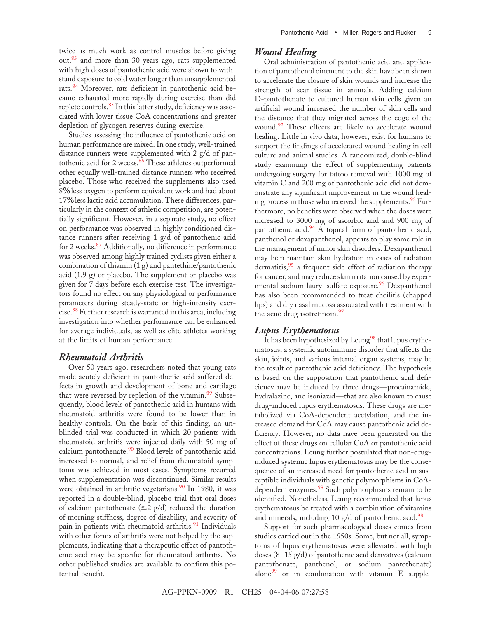twice as much work as control muscles before giving out,<sup>[83](#page-11-0)</sup> and more than 30 years ago, rats supplemented with high doses of pantothenic acid were shown to withstand exposure to cold water longer than unsupplemented rats.<sup>[84](#page-11-0)</sup> Moreover, rats deficient in pantothenic acid became exhausted more rapidly during exercise than did replete controls.<sup>[85](#page-11-0)</sup> In this latter study, deficiency was associated with lower tissue CoA concentrations and greater depletion of glycogen reserves during exercise.

Studies assessing the influence of pantothenic acid on human performance are mixed. In one study, well-trained distance runners were supplemented with 2 g/d of pan-tothenic acid for 2 weeks.<sup>[86](#page-11-0)</sup> These athletes outperformed other equally well-trained distance runners who received placebo. Those who received the supplements also used 8% less oxygen to perform equivalent work and had about 17% less lactic acid accumulation. These differences, particularly in the context of athletic competition, are potentially significant. However, in a separate study, no effect on performance was observed in highly conditioned distance runners after receiving 1 g/d of pantothenic acid for 2 weeks.<sup>[87](#page-11-0)</sup> Additionally, no difference in performance was observed among highly trained cyclists given either a combination of thiamin (1 g) and pantethine/pantothenic acid (1.9 g) or placebo. The supplement or placebo was given for 7 days before each exercise test. The investigators found no effect on any physiological or performance parameters during steady-state or high-intensity exer-cise.<sup>[88](#page-11-0)</sup> Further research is warranted in this area, including investigation into whether performance can be enhanced for average individuals, as well as elite athletes working at the limits of human performance.

#### *Rheumatoid Arthritis*

Over 50 years ago, researchers noted that young rats made acutely deficient in pantothenic acid suffered defects in growth and development of bone and cartilage that were reversed by repletion of the vitamin.<sup>[89](#page-12-0)</sup> Subsequently, blood levels of pantothenic acid in humans with rheumatoid arthritis were found to be lower than in healthy controls. On the basis of this finding, an unblinded trial was conducted in which 20 patients with rheumatoid arthritis were injected daily with 50 mg of calcium pantothenate. $\frac{90}{90}$  $\frac{90}{90}$  $\frac{90}{90}$  Blood levels of pantothenic acid increased to normal, and relief from rheumatoid symptoms was achieved in most cases. Symptoms recurred when supplementation was discontinued. Similar results were obtained in arthritic vegetarians.<sup>[90](#page-12-0)</sup> In 1980, it was reported in a double-blind, placebo trial that oral doses of calcium pantothenate  $(\leq 2 \text{ g/d})$  reduced the duration of morning stiffness, degree of disability, and severity of pain in patients with rheumatoid arthritis.<sup>[91](#page-12-0)</sup> Individuals with other forms of arthritis were not helped by the supplements, indicating that a therapeutic effect of pantothenic acid may be specific for rheumatoid arthritis. No other published studies are available to confirm this potential benefit.

#### *Wound Healing*

Oral administration of pantothenic acid and application of pantothenol ointment to the skin have been shown to accelerate the closure of skin wounds and increase the strength of scar tissue in animals. Adding calcium D-pantothenate to cultured human skin cells given an artificial wound increased the number of skin cells and the distance that they migrated across the edge of the wound.<sup>92</sup> These effects are likely to accelerate wound healing. Little in vivo data, however, exist for humans to support the findings of accelerated wound healing in cell culture and animal studies. A randomized, double-blind study examining the effect of supplementing patients undergoing surgery for tattoo removal with 1000 mg of vitamin C and 200 mg of pantothenic acid did not demonstrate any significant improvement in the wound heal-ing process in those who received the supplements.<sup>[93](#page-12-0)</sup> Furthermore, no benefits were observed when the doses were increased to 3000 mg of ascorbic acid and 900 mg of pantothenic acid.<sup>[94](#page-12-0)</sup> A topical form of pantothenic acid, panthenol or dexapanthenol, appears to play some role in the management of minor skin disorders. Dexapanthenol may help maintain skin hydration in cases of radiation dermatitis,<sup>[95](#page-12-0)</sup> a frequent side effect of radiation therapy for cancer, and may reduce skin irritation caused by exper-imental sodium lauryl sulfate exposure.<sup>[96](#page-12-0)</sup> Dexpanthenol has also been recommended to treat cheilitis (chapped lips) and dry nasal mucosa associated with treatment with the acne drug isotretinoin.<sup>[97](#page-12-0)</sup>

#### *Lupus Erythematosus*

It has been hypothesized by Leung<sup>[98](#page-12-0)</sup> that lupus erythematosus, a systemic autoimmune disorder that affects the skin, joints, and various internal organ systems, may be the result of pantothenic acid deficiency. The hypothesis is based on the supposition that pantothenic acid deficiency may be induced by three drugs—procainamide, hydralazine, and isoniazid—that are also known to cause drug-induced lupus erythematosus. These drugs are metabolized via CoA-dependent acetylation, and the increased demand for CoA may cause pantothenic acid deficiency. However, no data have been generated on the effect of these drugs on cellular CoA or pantothenic acid concentrations. Leung further postulated that non-druginduced systemic lupus erythematosus may be the consequence of an increased need for pantothenic acid in susceptible individuals with genetic polymorphisms in CoA-dependent enzymes.<sup>[98](#page-12-0)</sup> Such polymorphisms remain to be identified. Nonetheless, Leung recommended that lupus erythematosus be treated with a combination of vitamins and minerals, including 10  $g/d$  of pantothenic acid.<sup>[98](#page-12-0)</sup>

Support for such pharmacological doses comes from studies carried out in the 1950s. Some, but not all, symptoms of lupus erythematosus were alleviated with high doses (8–15 g/d) of pantothenic acid derivatives (calcium pantothenate, panthenol, or sodium pantothenate) alone $99$  or in combination with vitamin E supple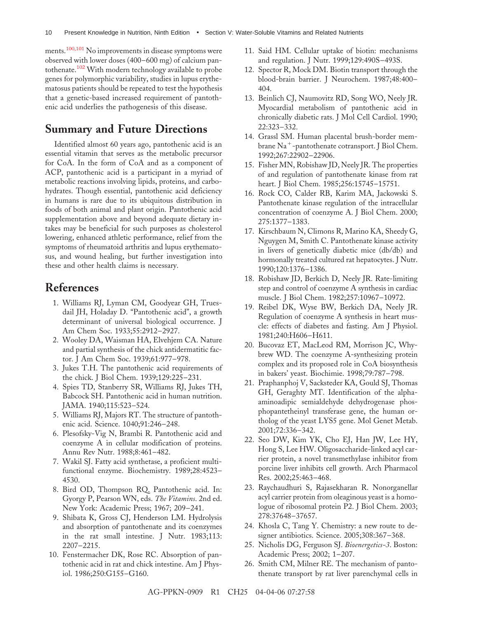<span id="page-9-0"></span>ments.[100,101](#page-12-0) No improvements in disease symptoms were observed with lower doses (400–600 mg) of calcium pantothenate.[102](#page-12-0) With modern technology available to probe genes for polymorphic variability, studies in lupus erythematosus patients should be repeated to test the hypothesis that a genetic-based increased requirement of pantothenic acid underlies the pathogenesis of this disease.

# **Summary and Future Directions**

Identified almost 60 years ago, pantothenic acid is an essential vitamin that serves as the metabolic precursor for CoA. In the form of CoA and as a component of ACP, pantothenic acid is a participant in a myriad of metabolic reactions involving lipids, proteins, and carbohydrates. Though essential, pantothenic acid deficiency in humans is rare due to its ubiquitous distribution in foods of both animal and plant origin. Pantothenic acid supplementation above and beyond adequate dietary intakes may be beneficial for such purposes as cholesterol lowering, enhanced athletic performance, relief from the symptoms of rheumatoid arthritis and lupus erythematosus, and wound healing, but further investigation into these and other health claims is necessary.

## **References**

- 1. Williams RJ, Lyman CM, Goodyear GH, Truesdail JH, Holaday D. "Pantothenic acid", a growth determinant of universal biological occurrence. J Am Chem Soc. 1933;55:2912–2927.
- 2. Wooley DA, Waisman HA, Elvehjem CA. Nature and partial synthesis of the chick antidermatitic factor. J Am Chem Soc. 1939;61:977–978.
- 3. Jukes T.H. The pantothenic acid requirements of the chick. J Biol Chem. 1939;129:225–231.
- 4. Spies TD, Stanberry SR, Williams RJ, Jukes TH, Babcock SH. Pantothenic acid in human nutrition. JAMA. 1940;115:523–524.
- 5. Williams RJ, Majors RT. The structure of pantothenic acid. Science. 1040;91:246–248.
- 6. Plesofsky-Vig N, Brambi R. Pantothenic acid and coenzyme A in cellular modification of proteins. Annu Rev Nutr. 1988;8:461–482.
- 7. Wakil SJ. Fatty acid synthetase, a proficient multifunctional enzyme. Biochemistry. 1989;28:4523– 4530.
- 8. Bird OD, Thompson RQ. Pantothenic acid. In: Gyorgy P, Pearson WN, eds. *The Vitamins*. 2nd ed. New York: Academic Press; 1967; 209–241.
- 9. Shibata K, Gross CJ, Henderson LM. Hydrolysis and absorption of pantothenate and its coenzymes in the rat small intestine. J Nutr. 1983;113: 2207–2215.
- 10. Fenstermacher DK, Rose RC. Absorption of pantothenic acid in rat and chick intestine. Am J Physiol. 1986;250:G155–G160.
- 11. Said HM. Cellular uptake of biotin: mechanisms and regulation. J Nutr. 1999;129:490S–493S.
- 12. Spector R, Mock DM. Biotin transport through the blood-brain barrier. J Neurochem. 1987;48:400– 404.
- 13. Beinlich CJ, Naumovitz RD, Song WO, Neely JR. Myocardial metabolism of pantothenic acid in chronically diabetic rats. J Mol Cell Cardiol. 1990; 22:323–332.
- 14. Grassl SM. Human placental brush-border membrane  $Na^+$ -pantothenate cotransport. J Biol Chem. 1992;267:22902–22906.
- 15. Fisher MN, Robishaw JD, Neely JR. The properties of and regulation of pantothenate kinase from rat heart. J Biol Chem. 1985;256:15745–15751.
- 16. Rock CO, Calder RB, Karim MA, Jackowski S. Pantothenate kinase regulation of the intracellular concentration of coenzyme A. J Biol Chem. 2000; 275:1377–1383.
- 17. Kirschbaum N, Climons R, Marino KA, Sheedy G, Nguygen M, Smith C. Pantothenate kinase activity in livers of genetically diabetic mice (db/db) and hormonally treated cultured rat hepatocytes. J Nutr. 1990;120:1376–1386.
- 18. Robishaw JD, Berkich D, Neely JR. Rate-limiting step and control of coenzyme A synthesis in cardiac muscle. J Biol Chem. 1982;257:10967–10972.
- 19. Reibel DK, Wyse BW, Berkich DA, Neely JR. Regulation of coenzyme A synthesis in heart muscle: effects of diabetes and fasting. Am J Physiol. 1981;240:H606–H611.
- 20. Bucovaz ET, MacLeod RM, Morrison JC, Whybrew WD. The coenzyme A-synthesizing protein complex and its proposed role in CoA biosynthesis in bakers' yeast. Biochimie. 1998;79:787–798.
- 21. Praphanphoj V, Sacksteder KA, Gould SJ, Thomas GH, Geraghty MT. Identification of the alphaaminoadipic semialdehyde dehydrogenase phosphopantetheinyl transferase gene, the human ortholog of the yeast LYS5 gene. Mol Genet Metab. 2001;72:336–342.
- 22. Seo DW, Kim YK, Cho EJ, Han JW, Lee HY, Hong S, Lee HW. Oligosaccharide-linked acyl carrier protein, a novel transmethylase inhibitor from porcine liver inhibits cell growth. Arch Pharmacol Res. 2002;25:463–468.
- 23. Raychaudhuri S, Rajasekharan R. Nonorganellar acyl carrier protein from oleaginous yeast is a homologue of ribosomal protein P2. J Biol Chem. 2003; 278:37648–37657.
- 24. Khosla C, Tang Y. Chemistry: a new route to designer antibiotics. Science. 2005;308:367–368.
- 25. Nicholis DG, Ferguson SJ. *Bioenergetics-3*. Boston: Academic Press; 2002; 1–207.
- 26. Smith CM, Milner RE. The mechanism of pantothenate transport by rat liver parenchymal cells in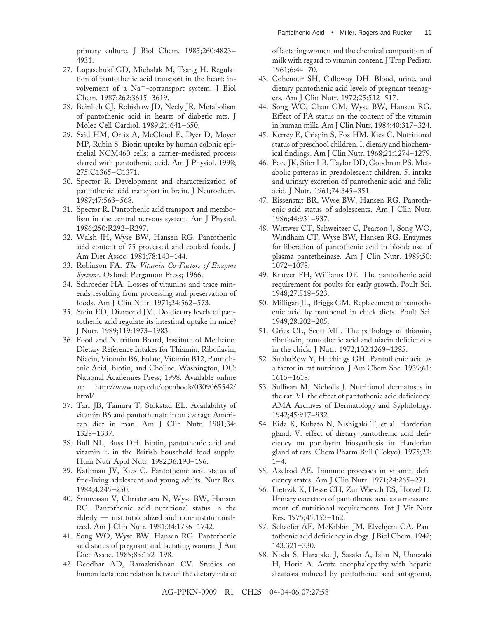<span id="page-10-0"></span>primary culture. J Biol Chem. 1985;260:4823– 4931.

- 27. Lopaschukf GD, Michalak M, Tsang H. Regulation of pantothenic acid transport in the heart: involvement of a  $Na^+$ -cotransport system. J Biol Chem. 1987;262:3615–3619.
- 28. Beinlich CJ, Robishaw JD, Neely JR. Metabolism of pantothenic acid in hearts of diabetic rats. J Molec Cell Cardiol. 1989;21:641–650.
- 29. Said HM, Ortiz A, McCloud E, Dyer D, Moyer MP, Rubin S. Biotin uptake by human colonic epithelial NCM460 cells: a carrier-mediated process shared with pantothenic acid. Am J Physiol. 1998; 275:C1365–C1371.
- 30. Spector R. Development and characterization of pantothenic acid transport in brain. J Neurochem. 1987;47:563–568.
- 31. Spector R. Pantothenic acid transport and metabolism in the central nervous system. Am J Physiol. 1986;250:R292–R297.
- 32. Walsh JH, Wyse BW, Hansen RG. Pantothenic acid content of 75 processed and cooked foods. J Am Diet Assoc. 1981;78:140–144.
- 33. Robinson FA. *The Vitamin Co-Factors of Enzyme Systems*. Oxford: Pergamon Press; 1966.
- 34. Schroeder HA. Losses of vitamins and trace minerals resulting from processing and preservation of foods. Am J Clin Nutr. 1971;24:562–573.
- 35. Stein ED, Diamond JM. Do dietary levels of pantothenic acid regulate its intestinal uptake in mice? J Nutr. 1989;119:1973–1983.
- 36. Food and Nutrition Board, Institute of Medicine. Dietary Reference Intakes for Thiamin, Riboflavin, Niacin, Vitamin B6, Folate, Vitamin B12, Pantothenic Acid, Biotin, and Choline. Washington, DC: National Academies Press; 1998. Available online at: http://www.nap.edu/openbook/0309065542/ html/.
- 37. Tarr JB, Tamura T, Stokstad EL. Availability of vitamin B6 and pantothenate in an average American diet in man. Am J Clin Nutr. 1981;34: 1328–1337.
- 38. Bull NL, Buss DH. Biotin, pantothenic acid and vitamin E in the British household food supply. Hum Nutr Appl Nutr. 1982;36:190–196.
- 39. Kathman JV, Kies C. Pantothenic acid status of free-living adolescent and young adults. Nutr Res. 1984;4:245–250.
- 40. Srinivasan V, Christensen N, Wyse BW, Hansen RG. Pantothenic acid nutritional status in the elderly — institutionalized and non-institutionalized. Am J Clin Nutr. 1981;34:1736–1742.
- 41. Song WO, Wyse BW, Hansen RG. Pantothenic acid status of pregnant and lactating women. J Am Diet Assoc. 1985;85:192–198.
- 42. Deodhar AD, Ramakrishnan CV. Studies on human lactation: relation between the dietary intake

of lactating women and the chemical composition of milk with regard to vitamin content. J Trop Pediatr. 1961;6:44–70.

- 43. Cohenour SH, Calloway DH. Blood, urine, and dietary pantothenic acid levels of pregnant teenagers. Am J Clin Nutr. 1972;25:512–517.
- 44. Song WO, Chan GM, Wyse BW, Hansen RG. Effect of PA status on the content of the vitamin in human milk. Am J Clin Nutr. 1984;40:317–324.
- 45. Kerrey E, Crispin S, Fox HM, Kies C. Nutritional status of preschool children. I. dietary and biochemical findings. Am J Clin Nutr. 1968;21:1274–1279.
- 46. Pace JK, Stier LB, Taylor DD, Goodman PS. Metabolic patterns in preadolescent children. 5. intake and urinary excretion of pantothenic acid and folic acid. J Nutr. 1961;74:345–351.
- 47. Eissenstat BR, Wyse BW, Hansen RG. Pantothenic acid status of adolescents. Am J Clin Nutr. 1986;44:931–937.
- 48. Wittwer CT, Schweitzer C, Pearson J, Song WO, Windham CT, Wyse BW, Hansen RG. Enzymes for liberation of pantothenic acid in blood: use of plasma pantetheinase. Am J Clin Nutr. 1989;50: 1072–1078.
- 49. Kratzer FH, Williams DE. The pantothenic acid requirement for poults for early growth. Poult Sci. 1948;27:518–523.
- 50. Milligan JL, Briggs GM. Replacement of pantothenic acid by panthenol in chick diets. Poult Sci. 1949;28:202–205.
- 51. Gries CL, Scott ML. The pathology of thiamin, riboflavin, pantothenic acid and niacin deficiencies in the chick. J Nutr. 1972;102:1269–1285.
- 52. SubbaRow Y, Hitchings GH. Pantothenic acid as a factor in rat nutrition. J Am Chem Soc. 1939;61: 1615–1618.
- 53. Sullivan M, Nicholls J. Nutritional dermatoses in the rat: VI. the effect of pantothenic acid deficiency. AMA Archives of Dermatology and Syphilology. 1942;45:917–932.
- 54. Eida K, Kubato N, Nishigaki T, et al. Harderian gland: V. effect of dietary pantothenic acid deficiency on porphyrin biosynthesis in Harderian gland of rats. Chem Pharm Bull (Tokyo). 1975;23:  $1 - 4$ .
- 55. Axelrod AE. Immune processes in vitamin deficiency states. Am J Clin Nutr. 1971;24:265–271.
- 56. Pietrzik K, Hesse CH, Zur Wiesch ES, Hotzel D. Urinary excretion of pantothenic acid as a measurement of nutritional requirements. Int J Vit Nutr Res. 1975;45:153–162.
- 57. Schaefer AE, McKibbin JM, Elvehjem CA. Pantothenic acid deficiency in dogs. J Biol Chem. 1942; 143:321–330.
- 58. Noda S, Haratake J, Sasaki A, Ishii N, Umezaki H, Horie A. Acute encephalopathy with hepatic steatosis induced by pantothenic acid antagonist,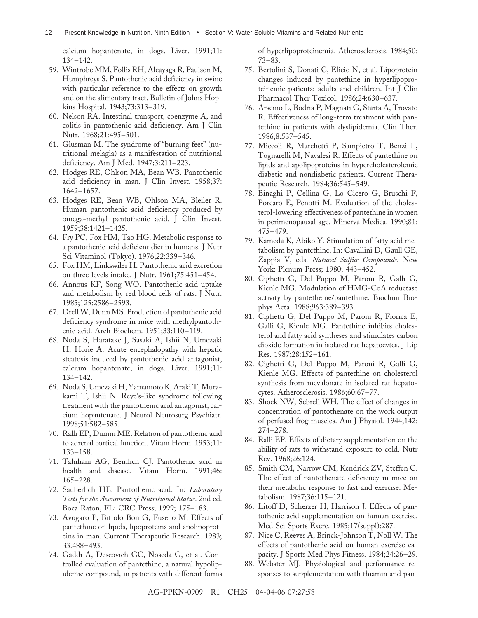<span id="page-11-0"></span>calcium hopantenate, in dogs. Liver. 1991;11: 134–142.

- 59. Wintrobe MM, Follis RH, Alcayaga R, Paulson M, Humphreys S. Pantothenic acid deficiency in swine with particular reference to the effects on growth and on the alimentary tract. Bulletin of Johns Hopkins Hospital. 1943;73:313–319.
- 60. Nelson RA. Intestinal transport, coenzyme A, and colitis in pantothenic acid deficiency. Am J Clin Nutr. 1968;21:495–501.
- 61. Glusman M. The syndrome of "burning feet" (nutritional melagia) as a manifestation of nutritional deficiency. Am J Med. 1947;3:211–223.
- 62. Hodges RE, Ohlson MA, Bean WB. Pantothenic acid deficiency in man. J Clin Invest. 1958;37: 1642–1657.
- 63. Hodges RE, Bean WB, Ohlson MA, Bleiler R. Human pantothenic acid deficiency produced by omega-methyl pantothenic acid. J Clin Invest. 1959;38:1421–1425.
- 64. Fry PC, Fox HM, Tao HG. Metabolic response to a pantothenic acid deficient diet in humans. J Nutr Sci Vitaminol (Tokyo). 1976;22:339–346.
- 65. Fox HM, Linkswiler H. Pantothenic acid excretion on three levels intake. J Nutr. 1961;75:451–454.
- 66. Annous KF, Song WO. Pantothenic acid uptake and metabolism by red blood cells of rats. J Nutr. 1985;125:2586–2593.
- 67. Drell W, Dunn MS. Production of pantothenic acid deficiency syndrome in mice with methylpantothenic acid. Arch Biochem. 1951;33:110–119.
- 68. Noda S, Haratake J, Sasaki A, Ishii N, Umezaki H, Horie A. Acute encephalopathy with hepatic steatosis induced by pantothenic acid antagonist, calcium hopantenate, in dogs. Liver. 1991;11: 134–142.
- 69. Noda S, Umezaki H, Yamamoto K, Araki T, Murakami T, Ishii N. Reye's-like syndrome following treatment with the pantothenic acid antagonist, calcium hopantenate. J Neurol Neurosurg Psychiatr. 1998;51:582–585.
- 70. Ralli EP, Dumm ME. Relation of pantothenic acid to adrenal cortical function. Vitam Horm. 1953;11: 133–158.
- 71. Tahiliani AG, Beinlich CJ. Pantothenic acid in health and disease. Vitam Horm. 1991;46: 165–228.
- 72. Sauberlich HE. Pantothenic acid. In: *Laboratory Tests for the Assessment of Nutritional Status*. 2nd ed. Boca Raton, FL: CRC Press; 1999; 175–183.
- 73. Avogaro P, Bittolo Bon G, Fusello M. Effects of pantethine on lipids, lipoproteins and apolipoproteins in man. Current Therapeutic Research. 1983; 33:488–493.
- 74. Gaddi A, Descovich GC, Noseda G, et al. Controlled evaluation of pantethine, a natural hypolipidemic compound, in patients with different forms

of hyperlipoproteinemia. Atherosclerosis. 1984;50: 73–83.

- 75. Bertolini S, Donati C, Elicio N, et al. Lipoprotein changes induced by pantethine in hyperlipoproteinemic patients: adults and children. Int J Clin Pharmacol Ther Toxicol. 1986;24:630–637.
- 76. Arsenio L, Bodria P, Magnati G, Starta A, Trovato R. Effectiveness of long-term treatment with pantethine in patients with dyslipidemia. Clin Ther. 1986;8:537–545.
- 77. Miccoli R, Marchetti P, Sampietro T, Benzi L, Tognarelli M, Navalesi R. Effects of pantethine on lipids and apolipoproteins in hypercholesterolemic diabetic and nondiabetic patients. Current Therapeutic Research. 1984;36:545–549.
- 78. Binaghi P, Cellina G, Lo Cicero G, Bruschi F, Porcaro E, Penotti M. Evaluation of the cholesterol-lowering effectiveness of pantethine in women in perimenopausal age. Minerva Medica. 1990;81: 475–479.
- 79. Kameda K, Abiko Y. Stimulation of fatty acid metabolism by pantethine. In: Cavallini D, Gaull GE, Zappia V, eds. *Natural Sulfur Compounds*. New York: Plenum Press; 1980; 443–452.
- 80. Cighetti G, Del Puppo M, Paroni R, Galli G, Kienle MG. Modulation of HMG-CoA reductase activity by pantetheine/pantethine. Biochim Biophys Acta. 1988;963:389–393.
- 81. Cighetti G, Del Puppo M, Paroni R, Fiorica E, Galli G, Kienle MG. Pantethine inhibits cholesterol and fatty acid syntheses and stimulates carbon dioxide formation in isolated rat hepatocytes. J Lip Res. 1987;28:152–161.
- 82. Cighetti G, Del Puppo M, Paroni R, Galli G, Kienle MG. Effects of pantethine on cholesterol synthesis from mevalonate in isolated rat hepatocytes. Atherosclerosis. 1986;60:67–77.
- 83. Shock NW, Sebrell WH. The effect of changes in concentration of pantothenate on the work output of perfused frog muscles. Am J Physiol. 1944;142: 274–278.
- 84. Ralli EP. Effects of dietary supplementation on the ability of rats to withstand exposure to cold. Nutr Rev. 1968;26:124.
- 85. Smith CM, Narrow CM, Kendrick ZV, Steffen C. The effect of pantothenate deficiency in mice on their metabolic response to fast and exercise. Metabolism. 1987;36:115–121.
- 86. Litoff D, Scherzer H, Harrison J. Effects of pantothenic acid supplementation on human exercise. Med Sci Sports Exerc. 1985;17(suppl):287.
- 87. Nice C, Reeves A, Brinck-Johnson T, Noll W. The effects of pantothenic acid on human exercise capacity. J Sports Med Phys Fitness. 1984;24:26–29.
- 88. Webster MJ. Physiological and performance responses to supplementation with thiamin and pan-